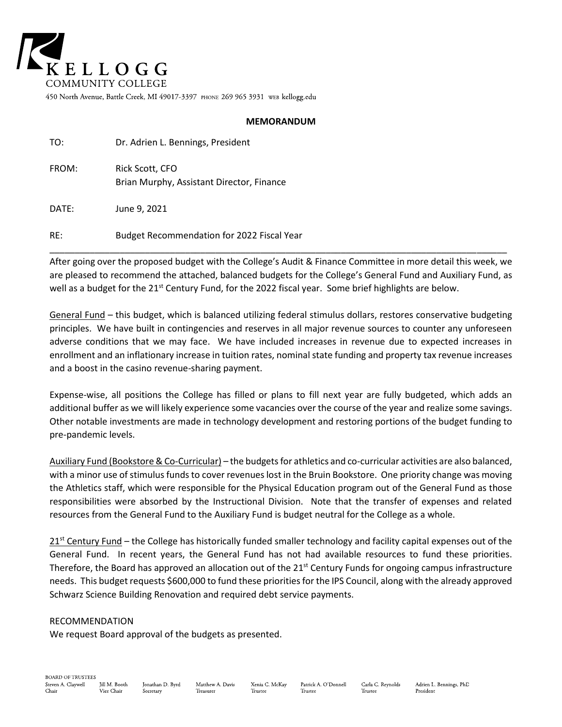

450 North Avenue, Battle Creek, MI 49017-3397 PHONE 269 965 3931 WEB kellogg.edu

#### **MEMORANDUM**

| TO:   | Dr. Adrien L. Bennings, President                            |
|-------|--------------------------------------------------------------|
| FROM: | Rick Scott, CFO<br>Brian Murphy, Assistant Director, Finance |
| DATE: | June 9, 2021                                                 |

RE: Budget Recommendation for 2022 Fiscal Year

After going over the proposed budget with the College's Audit & Finance Committee in more detail this week, we are pleased to recommend the attached, balanced budgets for the College's General Fund and Auxiliary Fund, as well as a budget for the 21<sup>st</sup> Century Fund, for the 2022 fiscal year. Some brief highlights are below.

\_\_\_\_\_\_\_\_\_\_\_\_\_\_\_\_\_\_\_\_\_\_\_\_\_\_\_\_\_\_\_\_\_\_\_\_\_\_\_\_\_\_\_\_\_\_\_\_\_\_\_\_\_\_\_\_\_\_\_\_\_\_\_\_\_\_\_\_\_\_\_\_\_\_\_\_\_\_\_\_\_\_\_\_\_\_\_\_\_\_\_

General Fund – this budget, which is balanced utilizing federal stimulus dollars, restores conservative budgeting principles. We have built in contingencies and reserves in all major revenue sources to counter any unforeseen adverse conditions that we may face. We have included increases in revenue due to expected increases in enrollment and an inflationary increase in tuition rates, nominal state funding and property tax revenue increases and a boost in the casino revenue-sharing payment.

Expense-wise, all positions the College has filled or plans to fill next year are fully budgeted, which adds an additional buffer as we will likely experience some vacancies over the course of the year and realize some savings. Other notable investments are made in technology development and restoring portions of the budget funding to pre-pandemic levels.

Auxiliary Fund (Bookstore & Co-Curricular) – the budgets for athletics and co-curricular activities are also balanced, with a minor use of stimulus funds to cover revenues lost in the Bruin Bookstore. One priority change was moving the Athletics staff, which were responsible for the Physical Education program out of the General Fund as those responsibilities were absorbed by the Instructional Division. Note that the transfer of expenses and related resources from the General Fund to the Auxiliary Fund is budget neutral for the College as a whole.

 $21<sup>st</sup>$  Century Fund – the College has historically funded smaller technology and facility capital expenses out of the General Fund. In recent years, the General Fund has not had available resources to fund these priorities. Therefore, the Board has approved an allocation out of the 21<sup>st</sup> Century Funds for ongoing campus infrastructure needs. This budget requests \$600,000 to fund these priorities for the IPS Council, along with the already approved Schwarz Science Building Renovation and required debt service payments.

#### RECOMMENDATION

We request Board approval of the budgets as presented.

Matthew A. Davis Trustee Treasurer

Patrick A. O'Donnell Xenia C. McKav Trustee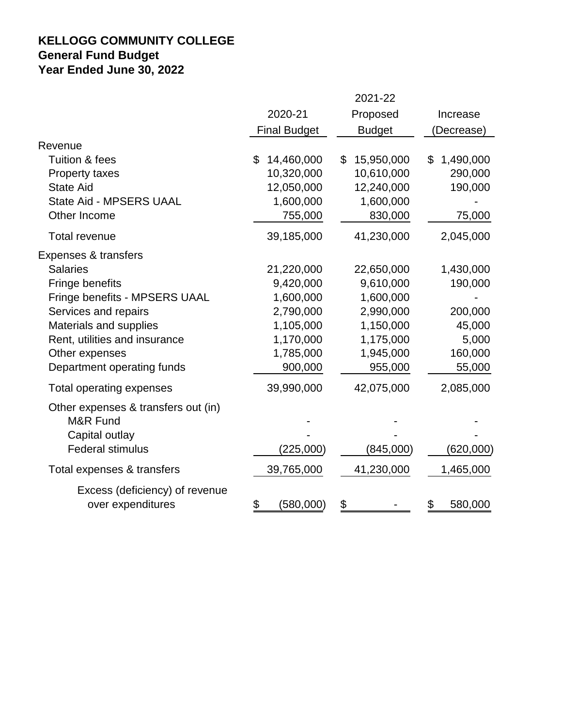# **KELLOGG COMMUNITY COLLEGE General Fund Budget Year Ended June 30, 2022**

|                                                                                                                                                                                                                                | 2021-22                                                                                             |                                                                                                     |                                                                         |  |  |
|--------------------------------------------------------------------------------------------------------------------------------------------------------------------------------------------------------------------------------|-----------------------------------------------------------------------------------------------------|-----------------------------------------------------------------------------------------------------|-------------------------------------------------------------------------|--|--|
|                                                                                                                                                                                                                                | 2020-21<br>Proposed                                                                                 |                                                                                                     | Increase                                                                |  |  |
|                                                                                                                                                                                                                                | <b>Final Budget</b>                                                                                 | <b>Budget</b>                                                                                       | (Decrease)                                                              |  |  |
| Revenue<br>Tuition & fees<br><b>Property taxes</b><br><b>State Aid</b><br>State Aid - MPSERS UAAL                                                                                                                              | 14,460,000<br>\$<br>10,320,000<br>12,050,000<br>1,600,000                                           | 15,950,000<br>\$<br>10,610,000<br>12,240,000<br>1,600,000                                           | 1,490,000<br>\$<br>290,000<br>190,000                                   |  |  |
| Other Income                                                                                                                                                                                                                   | 755,000                                                                                             | 830,000                                                                                             | 75,000                                                                  |  |  |
| <b>Total revenue</b>                                                                                                                                                                                                           | 39,185,000                                                                                          | 41,230,000                                                                                          | 2,045,000                                                               |  |  |
| Expenses & transfers<br><b>Salaries</b><br>Fringe benefits<br>Fringe benefits - MPSERS UAAL<br>Services and repairs<br>Materials and supplies<br>Rent, utilities and insurance<br>Other expenses<br>Department operating funds | 21,220,000<br>9,420,000<br>1,600,000<br>2,790,000<br>1,105,000<br>1,170,000<br>1,785,000<br>900,000 | 22,650,000<br>9,610,000<br>1,600,000<br>2,990,000<br>1,150,000<br>1,175,000<br>1,945,000<br>955,000 | 1,430,000<br>190,000<br>200,000<br>45,000<br>5,000<br>160,000<br>55,000 |  |  |
| Total operating expenses                                                                                                                                                                                                       | 39,990,000                                                                                          | 42,075,000                                                                                          | 2,085,000                                                               |  |  |
| Other expenses & transfers out (in)<br>M&R Fund<br>Capital outlay<br><b>Federal stimulus</b>                                                                                                                                   | (225,000)                                                                                           | (845,000)                                                                                           | (620,000)                                                               |  |  |
| Total expenses & transfers                                                                                                                                                                                                     | 39,765,000                                                                                          | 41,230,000                                                                                          | 1,465,000                                                               |  |  |
| Excess (deficiency) of revenue<br>over expenditures                                                                                                                                                                            | \$<br>(580,000)                                                                                     | \$                                                                                                  | \$<br>580,000                                                           |  |  |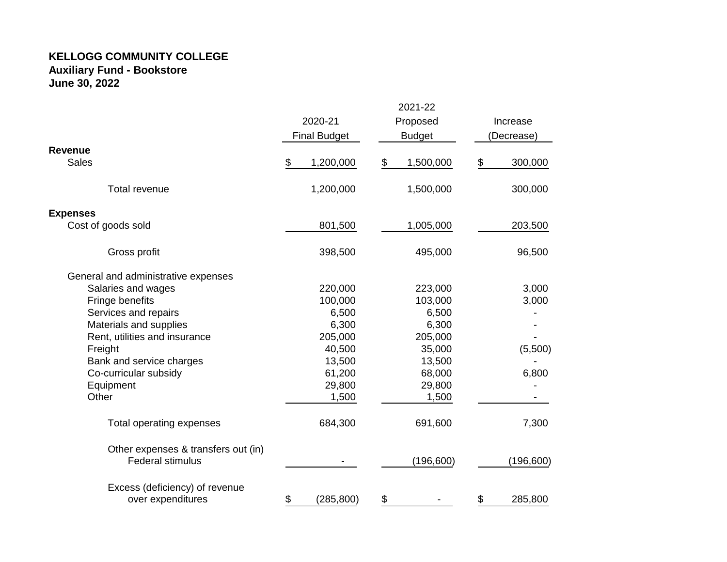#### **KELLOGG COMMUNITY COLLEGE Auxiliary Fund - Bookstore June 30, 2022**

|                                                                |                                                             |            |          | 2021-22    |            |            |
|----------------------------------------------------------------|-------------------------------------------------------------|------------|----------|------------|------------|------------|
|                                                                | 2020-21<br>Proposed<br><b>Final Budget</b><br><b>Budget</b> |            | Increase |            |            |            |
|                                                                |                                                             |            |          |            | (Decrease) |            |
| <b>Revenue</b>                                                 |                                                             |            |          |            |            |            |
| <b>Sales</b>                                                   | \$                                                          | 1,200,000  | \$       | 1,500,000  | \$         | 300,000    |
| <b>Total revenue</b>                                           |                                                             | 1,200,000  |          | 1,500,000  |            | 300,000    |
| <b>Expenses</b>                                                |                                                             |            |          |            |            |            |
| Cost of goods sold                                             |                                                             | 801,500    |          | 1,005,000  |            | 203,500    |
| Gross profit                                                   |                                                             | 398,500    |          | 495,000    |            | 96,500     |
| General and administrative expenses                            |                                                             |            |          |            |            |            |
| Salaries and wages                                             |                                                             | 220,000    |          | 223,000    |            | 3,000      |
| Fringe benefits                                                |                                                             | 100,000    |          | 103,000    |            | 3,000      |
| Services and repairs                                           |                                                             | 6,500      |          | 6,500      |            |            |
| Materials and supplies                                         |                                                             | 6,300      |          | 6,300      |            |            |
| Rent, utilities and insurance                                  |                                                             | 205,000    |          | 205,000    |            |            |
| Freight                                                        |                                                             | 40,500     |          | 35,000     |            | (5,500)    |
| Bank and service charges                                       |                                                             | 13,500     |          | 13,500     |            |            |
| Co-curricular subsidy                                          |                                                             | 61,200     |          | 68,000     |            | 6,800      |
| Equipment                                                      |                                                             | 29,800     |          | 29,800     |            |            |
| Other                                                          |                                                             | 1,500      |          | 1,500      |            |            |
| Total operating expenses                                       |                                                             | 684,300    |          | 691,600    |            | 7,300      |
| Other expenses & transfers out (in)<br><b>Federal stimulus</b> |                                                             |            |          |            |            |            |
|                                                                |                                                             |            |          | (196, 600) |            | (196, 600) |
| Excess (deficiency) of revenue                                 |                                                             |            |          |            |            |            |
| over expenditures                                              | \$                                                          | (285, 800) | \$       |            | \$         | 285,800    |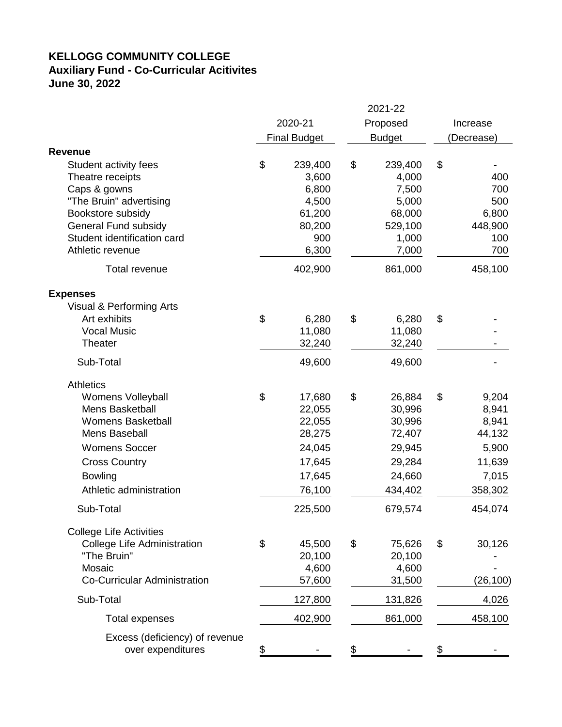## **KELLOGG COMMUNITY COLLEGE Auxiliary Fund - Co-Curricular Acitivites June 30, 2022**

|                                     | 2021-22 |                     |          |               |          |            |
|-------------------------------------|---------|---------------------|----------|---------------|----------|------------|
|                                     | 2020-21 |                     | Proposed |               | Increase |            |
|                                     |         | <b>Final Budget</b> |          | <b>Budget</b> |          | (Decrease) |
| Revenue                             |         |                     |          |               |          |            |
| Student activity fees               | \$      | 239,400             | \$       | 239,400       | \$       |            |
| Theatre receipts                    |         | 3,600               |          | 4,000         |          | 400        |
| Caps & gowns                        |         | 6,800               |          | 7,500         |          | 700        |
| "The Bruin" advertising             |         | 4,500               |          | 5,000         |          | 500        |
| Bookstore subsidy                   |         | 61,200              |          | 68,000        |          | 6,800      |
| General Fund subsidy                |         | 80,200              |          | 529,100       |          | 448,900    |
| Student identification card         |         | 900                 |          | 1,000         |          | 100        |
| Athletic revenue                    |         | 6,300               |          | 7,000         |          | 700        |
| Total revenue                       |         | 402,900             |          | 861,000       |          | 458,100    |
| <b>Expenses</b>                     |         |                     |          |               |          |            |
| Visual & Performing Arts            |         |                     |          |               |          |            |
| Art exhibits                        | \$      | 6,280               | \$       | 6,280         | \$       |            |
| <b>Vocal Music</b>                  |         | 11,080              |          | 11,080        |          |            |
| <b>Theater</b>                      |         | 32,240              |          | 32,240        |          |            |
| Sub-Total                           |         | 49,600              |          | 49,600        |          |            |
| <b>Athletics</b>                    |         |                     |          |               |          |            |
| <b>Womens Volleyball</b>            | \$      | 17,680              | \$       | 26,884        | \$       | 9,204      |
| Mens Basketball                     |         | 22,055              |          | 30,996        |          | 8,941      |
| <b>Womens Basketball</b>            |         | 22,055              |          | 30,996        |          | 8,941      |
| Mens Baseball                       |         | 28,275              |          | 72,407        |          | 44,132     |
| <b>Womens Soccer</b>                |         | 24,045              |          | 29,945        |          | 5,900      |
| <b>Cross Country</b>                |         | 17,645              |          | 29,284        |          | 11,639     |
| <b>Bowling</b>                      |         | 17,645              |          | 24,660        |          | 7,015      |
| Athletic administration             |         | 76,100              |          | 434,402       |          | 358,302    |
| Sub-Total                           |         | 225,500             |          | 679,574       |          | 454,074    |
| <b>College Life Activities</b>      |         |                     |          |               |          |            |
| <b>College Life Administration</b>  | \$      | 45,500              | \$       | 75,626        | \$       | 30,126     |
| "The Bruin"                         |         | 20,100              |          | 20,100        |          |            |
| Mosaic                              |         | 4,600               |          | 4,600         |          |            |
| <b>Co-Curricular Administration</b> |         | 57,600              |          | 31,500        |          | (26, 100)  |
| Sub-Total                           |         | 127,800             |          | 131,826       |          | 4,026      |
| Total expenses                      |         | 402,900             |          | 861,000       |          | 458,100    |
| Excess (deficiency) of revenue      |         |                     |          |               |          |            |
| over expenditures                   | \$      |                     | \$       |               |          |            |